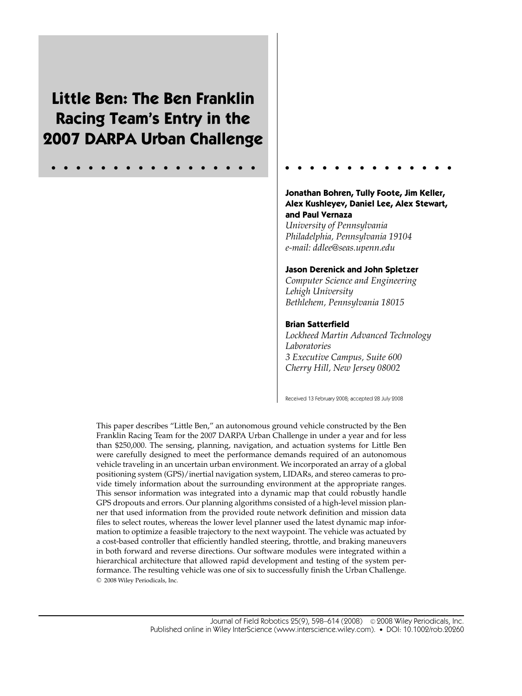# **Little Ben: The Ben Franklin Racing Team's Entry in the 2007 DARPA Urban Challenge**

••••••••••••••••• ••••••••••••••

# **Jonathan Bohren, Tully Foote, Jim Keller, Alex Kushleyev, Daniel Lee, Alex Stewart, and Paul Vernaza**

*University of Pennsylvania Philadelphia, Pennsylvania 19104 e-mail: ddlee@seas.upenn.edu*

#### **Jason Derenick and John Spletzer**

*Computer Science and Engineering Lehigh University Bethlehem, Pennsylvania 18015*

### **Brian Satterfield**

*Lockheed Martin Advanced Technology Laboratories 3 Executive Campus, Suite 600 Cherry Hill, New Jersey 08002*

Received 13 February 2008; accepted 28 July 2008

This paper describes "Little Ben," an autonomous ground vehicle constructed by the Ben Franklin Racing Team for the 2007 DARPA Urban Challenge in under a year and for less than \$250,000. The sensing, planning, navigation, and actuation systems for Little Ben were carefully designed to meet the performance demands required of an autonomous vehicle traveling in an uncertain urban environment. We incorporated an array of a global positioning system (GPS)/inertial navigation system, LIDARs, and stereo cameras to provide timely information about the surrounding environment at the appropriate ranges. This sensor information was integrated into a dynamic map that could robustly handle GPS dropouts and errors. Our planning algorithms consisted of a high-level mission planner that used information from the provided route network definition and mission data files to select routes, whereas the lower level planner used the latest dynamic map information to optimize a feasible trajectory to the next waypoint. The vehicle was actuated by a cost-based controller that efficiently handled steering, throttle, and braking maneuvers in both forward and reverse directions. Our software modules were integrated within a hierarchical architecture that allowed rapid development and testing of the system performance. The resulting vehicle was one of six to successfully finish the Urban Challenge.  $©$  2008 Wiley Periodicals, Inc.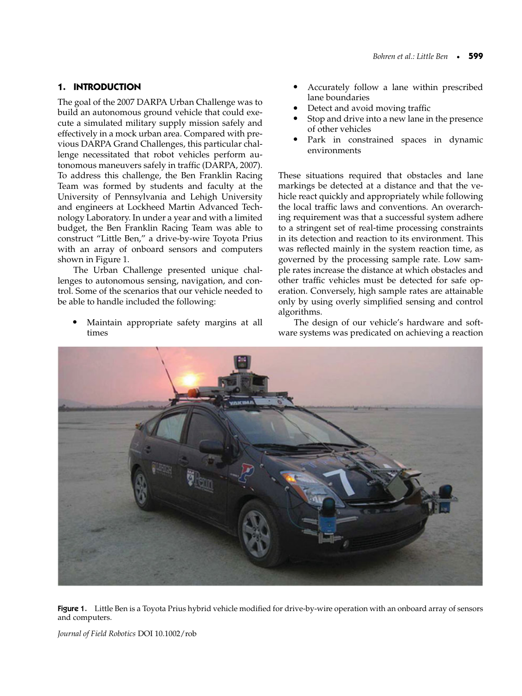# **1. INTRODUCTION**

The goal of the 2007 DARPA Urban Challenge was to build an autonomous ground vehicle that could execute a simulated military supply mission safely and effectively in a mock urban area. Compared with previous DARPA Grand Challenges, this particular challenge necessitated that robot vehicles perform autonomous maneuvers safely in traffic (DARPA, 2007). To address this challenge, the Ben Franklin Racing Team was formed by students and faculty at the University of Pennsylvania and Lehigh University and engineers at Lockheed Martin Advanced Technology Laboratory. In under a year and with a limited budget, the Ben Franklin Racing Team was able to construct "Little Ben," a drive-by-wire Toyota Prius with an array of onboard sensors and computers shown in Figure 1.

The Urban Challenge presented unique challenges to autonomous sensing, navigation, and control. Some of the scenarios that our vehicle needed to be able to handle included the following:

• Maintain appropriate safety margins at all times

- Accurately follow a lane within prescribed lane boundaries
- Detect and avoid moving traffic
- Stop and drive into a new lane in the presence of other vehicles
- Park in constrained spaces in dynamic environments

These situations required that obstacles and lane markings be detected at a distance and that the vehicle react quickly and appropriately while following the local traffic laws and conventions. An overarching requirement was that a successful system adhere to a stringent set of real-time processing constraints in its detection and reaction to its environment. This was reflected mainly in the system reaction time, as governed by the processing sample rate. Low sample rates increase the distance at which obstacles and other traffic vehicles must be detected for safe operation. Conversely, high sample rates are attainable only by using overly simplified sensing and control algorithms.

The design of our vehicle's hardware and software systems was predicated on achieving a reaction



Figure 1. Little Ben is a Toyota Prius hybrid vehicle modified for drive-by-wire operation with an onboard array of sensors and computers.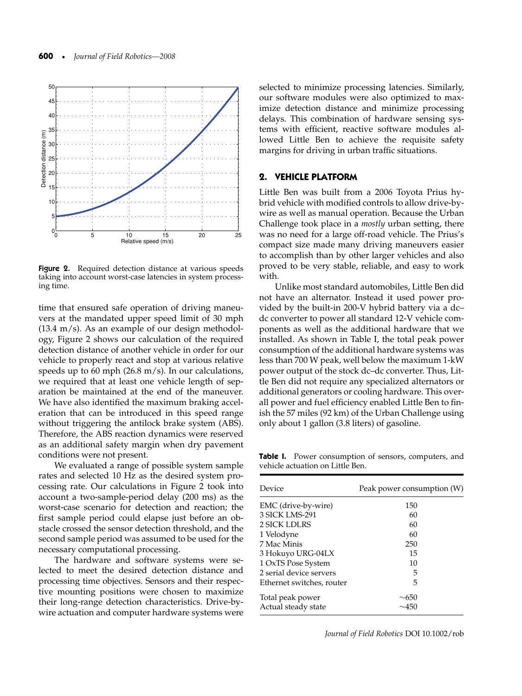

**Figure 2.** Required detection distance at various speeds taking into account worst-case latencies in system processing time.

time that ensured safe operation of driving maneuvers at the mandated upper speed limit of 30 mph  $(13.4 \text{ m/s})$ . As an example of our design methodology, Figure 2 shows our calculation of the required detection distance of another vehicle in order for our vehicle to properly react and stop at various relative speeds up to 60 mph (26.8 m/s). In our calculations, we required that at least one vehicle length of separation be maintained at the end of the maneuver. We have also identified the maximum braking acceleration that can be introduced in this speed range without triggering the antilock brake system (ABS). Therefore, the ABS reaction dynamics were reserved as an additional safety margin when dry pavement conditions were not present.

We evaluated a range of possible system sample rates and selected 10 Hz as the desired system processing rate. Our calculations in Figure 2 took into account a two-sample-period delay (200 ms) as the worst-case scenario for detection and reaction; the first sample period could elapse just before an obstacle crossed the sensor detection threshold, and the second sample period was assumed to be used for the necessary computational processing.

The hardware and software systems were selected to meet the desired detection distance and processing time objectives. Sensors and their respective mounting positions were chosen to maximize their long-range detection characteristics. Drive-bywire actuation and computer hardware systems were selected to minimize processing latencies. Similarly, our software modules were also optimized to maximize detection distance and minimize processing delays. This combination of hardware sensing systems with efficient, reactive software modules allowed Little Ben to achieve the requisite safety margins for driving in urban traffic situations.

#### **2. VEHICLE PLATFORM**

Little Ben was built from a 2006 Toyota Prius hybrid vehicle with modified controls to allow drive-bywire as well as manual operation. Because the Urban Challenge took place in a *mostly* urban setting, there was no need for a large off-road vehicle. The Prius's compact size made many driving maneuvers easier to accomplish than by other larger vehicles and also proved to be very stable, reliable, and easy to work with.

Unlike most standard automobiles, Little Ben did not have an alternator. Instead it used power provided by the built-in 200-V hybrid battery via a dc– dc converter to power all standard 12-V vehicle components as well as the additional hardware that we installed. As shown in Table I, the total peak power consumption of the additional hardware systems was less than 700 W peak, well below the maximum 1-kW power output of the stock dc–dc converter. Thus, Little Ben did not require any specialized alternators or additional generators or cooling hardware. This overall power and fuel efficiency enabled Little Ben to finish the 57 miles (92 km) of the Urban Challenge using only about 1 gallon (3.8 liters) of gasoline.

**Table I.** Power consumption of sensors, computers, and vehicle actuation on Little Ben.

| Device                    | Peak power consumption (W) |
|---------------------------|----------------------------|
| EMC (drive-by-wire)       | 150                        |
| <b>3 SICK LMS-291</b>     | 60                         |
| 2 SICK LDLRS              | 60                         |
| 1 Velodyne                | 60                         |
| 7 Mac Minis               | 250                        |
| 3 Hokuyo URG-04LX         | 15                         |
| 1 OxTS Pose System        | 10                         |
| 2 serial device servers   | 5                          |
| Ethernet switches, router | 5                          |
| Total peak power          | $\sim$ 650                 |
| Actual steady state       | ${\sim}450$                |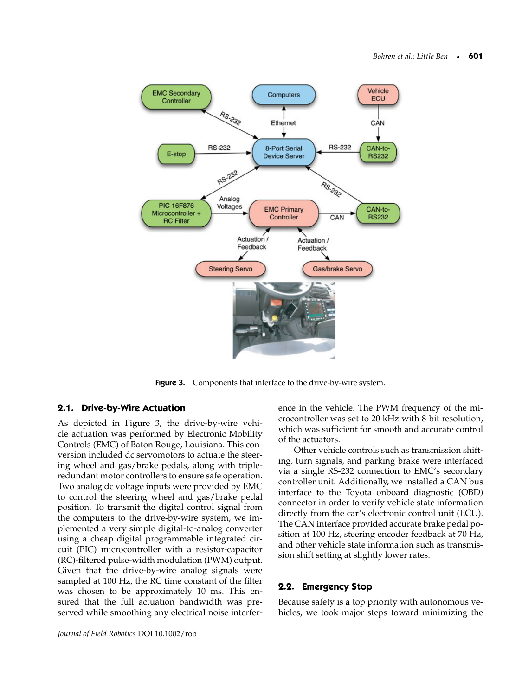

Figure 3. Components that interface to the drive-by-wire system.

## **2.1. Drive-by-Wire Actuation**

As depicted in Figure 3, the drive-by-wire vehicle actuation was performed by Electronic Mobility Controls (EMC) of Baton Rouge, Louisiana. This conversion included dc servomotors to actuate the steering wheel and gas/brake pedals, along with tripleredundant motor controllers to ensure safe operation. Two analog dc voltage inputs were provided by EMC to control the steering wheel and gas/brake pedal position. To transmit the digital control signal from the computers to the drive-by-wire system, we implemented a very simple digital-to-analog converter using a cheap digital programmable integrated circuit (PIC) microcontroller with a resistor-capacitor (RC)-filtered pulse-width modulation (PWM) output. Given that the drive-by-wire analog signals were sampled at 100 Hz, the RC time constant of the filter was chosen to be approximately 10 ms. This ensured that the full actuation bandwidth was preserved while smoothing any electrical noise interference in the vehicle. The PWM frequency of the microcontroller was set to 20 kHz with 8-bit resolution, which was sufficient for smooth and accurate control of the actuators.

Other vehicle controls such as transmission shifting, turn signals, and parking brake were interfaced via a single RS-232 connection to EMC's secondary controller unit. Additionally, we installed a CAN bus interface to the Toyota onboard diagnostic (OBD) connector in order to verify vehicle state information directly from the car's electronic control unit (ECU). The CAN interface provided accurate brake pedal position at 100 Hz, steering encoder feedback at 70 Hz, and other vehicle state information such as transmission shift setting at slightly lower rates.

## **2.2. Emergency Stop**

Because safety is a top priority with autonomous vehicles, we took major steps toward minimizing the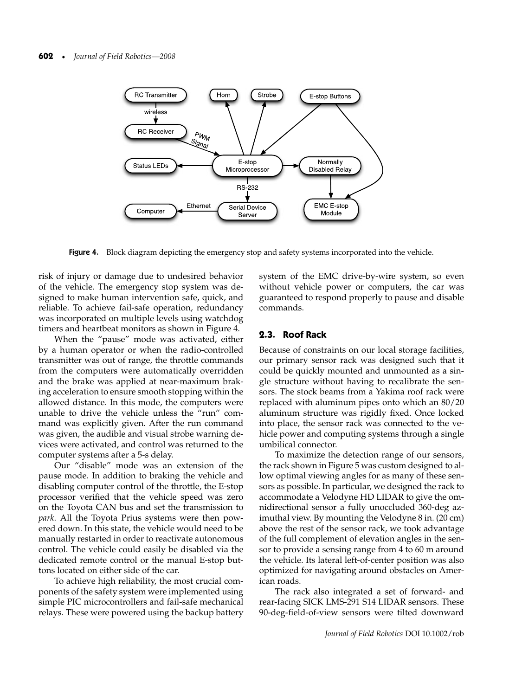

**Figure 4.** Block diagram depicting the emergency stop and safety systems incorporated into the vehicle.

risk of injury or damage due to undesired behavior of the vehicle. The emergency stop system was designed to make human intervention safe, quick, and reliable. To achieve fail-safe operation, redundancy was incorporated on multiple levels using watchdog timers and heartbeat monitors as shown in Figure 4.

When the "pause" mode was activated, either by a human operator or when the radio-controlled transmitter was out of range, the throttle commands from the computers were automatically overridden and the brake was applied at near-maximum braking acceleration to ensure smooth stopping within the allowed distance. In this mode, the computers were unable to drive the vehicle unless the "run" command was explicitly given. After the run command was given, the audible and visual strobe warning devices were activated, and control was returned to the computer systems after a 5-s delay.

Our "disable" mode was an extension of the pause mode. In addition to braking the vehicle and disabling computer control of the throttle, the E-stop processor verified that the vehicle speed was zero on the Toyota CAN bus and set the transmission to *park*. All the Toyota Prius systems were then powered down. In this state, the vehicle would need to be manually restarted in order to reactivate autonomous control. The vehicle could easily be disabled via the dedicated remote control or the manual E-stop buttons located on either side of the car.

To achieve high reliability, the most crucial components of the safety system were implemented using simple PIC microcontrollers and fail-safe mechanical relays. These were powered using the backup battery system of the EMC drive-by-wire system, so even without vehicle power or computers, the car was guaranteed to respond properly to pause and disable commands.

#### **2.3. Roof Rack**

Because of constraints on our local storage facilities, our primary sensor rack was designed such that it could be quickly mounted and unmounted as a single structure without having to recalibrate the sensors. The stock beams from a Yakima roof rack were replaced with aluminum pipes onto which an 80/20 aluminum structure was rigidly fixed. Once locked into place, the sensor rack was connected to the vehicle power and computing systems through a single umbilical connector.

To maximize the detection range of our sensors, the rack shown in Figure 5 was custom designed to allow optimal viewing angles for as many of these sensors as possible. In particular, we designed the rack to accommodate a Velodyne HD LIDAR to give the omnidirectional sensor a fully unoccluded 360-deg azimuthal view. By mounting the Velodyne 8 in. (20 cm) above the rest of the sensor rack, we took advantage of the full complement of elevation angles in the sensor to provide a sensing range from 4 to 60 m around the vehicle. Its lateral left-of-center position was also optimized for navigating around obstacles on American roads.

The rack also integrated a set of forward- and rear-facing SICK LMS-291 S14 LIDAR sensors. These 90-deg-field-of-view sensors were tilted downward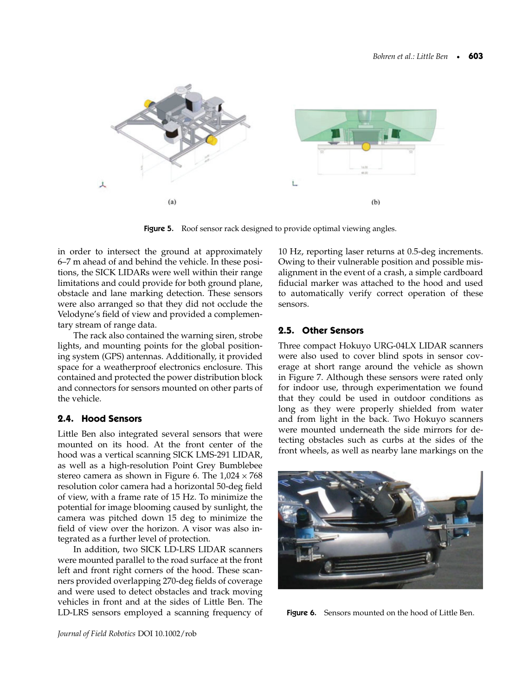

Figure 5. Roof sensor rack designed to provide optimal viewing angles.

in order to intersect the ground at approximately 6–7 m ahead of and behind the vehicle. In these positions, the SICK LIDARs were well within their range limitations and could provide for both ground plane, obstacle and lane marking detection. These sensors were also arranged so that they did not occlude the Velodyne's field of view and provided a complementary stream of range data.

The rack also contained the warning siren, strobe lights, and mounting points for the global positioning system (GPS) antennas. Additionally, it provided space for a weatherproof electronics enclosure. This contained and protected the power distribution block and connectors for sensors mounted on other parts of the vehicle.

## **2.4. Hood Sensors**

Little Ben also integrated several sensors that were mounted on its hood. At the front center of the hood was a vertical scanning SICK LMS-291 LIDAR, as well as a high-resolution Point Grey Bumblebee stereo camera as shown in Figure 6. The  $1,024 \times 768$ resolution color camera had a horizontal 50-deg field of view, with a frame rate of 15 Hz. To minimize the potential for image blooming caused by sunlight, the camera was pitched down 15 deg to minimize the field of view over the horizon. A visor was also integrated as a further level of protection.

In addition, two SICK LD-LRS LIDAR scanners were mounted parallel to the road surface at the front left and front right corners of the hood. These scanners provided overlapping 270-deg fields of coverage and were used to detect obstacles and track moving vehicles in front and at the sides of Little Ben. The LD-LRS sensors employed a scanning frequency of 10 Hz, reporting laser returns at 0.5-deg increments. Owing to their vulnerable position and possible misalignment in the event of a crash, a simple cardboard fiducial marker was attached to the hood and used to automatically verify correct operation of these sensors.

## **2.5. Other Sensors**

Three compact Hokuyo URG-04LX LIDAR scanners were also used to cover blind spots in sensor coverage at short range around the vehicle as shown in Figure 7. Although these sensors were rated only for indoor use, through experimentation we found that they could be used in outdoor conditions as long as they were properly shielded from water and from light in the back. Two Hokuyo scanners were mounted underneath the side mirrors for detecting obstacles such as curbs at the sides of the front wheels, as well as nearby lane markings on the



Figure 6. Sensors mounted on the hood of Little Ben.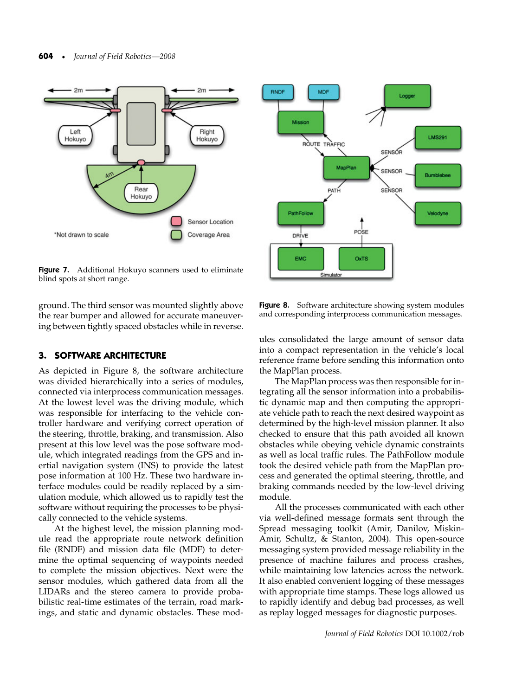

Figure 7. Additional Hokuyo scanners used to eliminate blind spots at short range.

ground. The third sensor was mounted slightly above the rear bumper and allowed for accurate maneuvering between tightly spaced obstacles while in reverse.



**Figure 8.** Software architecture showing system modules and corresponding interprocess communication messages.

#### **3. SOFTWARE ARCHITECTURE**

As depicted in Figure 8, the software architecture was divided hierarchically into a series of modules, connected via interprocess communication messages. At the lowest level was the driving module, which was responsible for interfacing to the vehicle controller hardware and verifying correct operation of the steering, throttle, braking, and transmission. Also present at this low level was the pose software module, which integrated readings from the GPS and inertial navigation system (INS) to provide the latest pose information at 100 Hz. These two hardware interface modules could be readily replaced by a simulation module, which allowed us to rapidly test the software without requiring the processes to be physically connected to the vehicle systems.

At the highest level, the mission planning module read the appropriate route network definition file (RNDF) and mission data file (MDF) to determine the optimal sequencing of waypoints needed to complete the mission objectives. Next were the sensor modules, which gathered data from all the LIDARs and the stereo camera to provide probabilistic real-time estimates of the terrain, road markings, and static and dynamic obstacles. These modules consolidated the large amount of sensor data into a compact representation in the vehicle's local reference frame before sending this information onto the MapPlan process.

The MapPlan process was then responsible for integrating all the sensor information into a probabilistic dynamic map and then computing the appropriate vehicle path to reach the next desired waypoint as determined by the high-level mission planner. It also checked to ensure that this path avoided all known obstacles while obeying vehicle dynamic constraints as well as local traffic rules. The PathFollow module took the desired vehicle path from the MapPlan process and generated the optimal steering, throttle, and braking commands needed by the low-level driving module.

All the processes communicated with each other via well-defined message formats sent through the Spread messaging toolkit (Amir, Danilov, Miskin-Amir, Schultz, & Stanton, 2004). This open-source messaging system provided message reliability in the presence of machine failures and process crashes, while maintaining low latencies across the network. It also enabled convenient logging of these messages with appropriate time stamps. These logs allowed us to rapidly identify and debug bad processes, as well as replay logged messages for diagnostic purposes.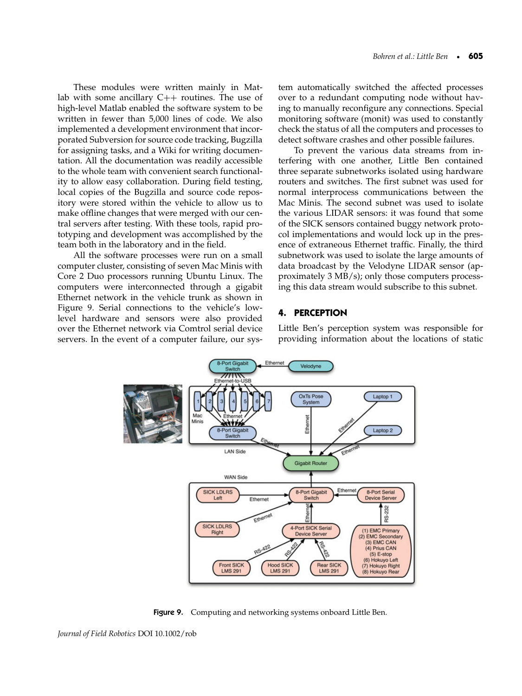These modules were written mainly in Matlab with some ancillary  $C++$  routines. The use of high-level Matlab enabled the software system to be written in fewer than 5,000 lines of code. We also implemented a development environment that incorporated Subversion for source code tracking, Bugzilla for assigning tasks, and a Wiki for writing documentation. All the documentation was readily accessible to the whole team with convenient search functionality to allow easy collaboration. During field testing, local copies of the Bugzilla and source code repository were stored within the vehicle to allow us to make offline changes that were merged with our central servers after testing. With these tools, rapid prototyping and development was accomplished by the team both in the laboratory and in the field.

All the software processes were run on a small computer cluster, consisting of seven Mac Minis with Core 2 Duo processors running Ubuntu Linux. The computers were interconnected through a gigabit Ethernet network in the vehicle trunk as shown in Figure 9. Serial connections to the vehicle's lowlevel hardware and sensors were also provided over the Ethernet network via Comtrol serial device servers. In the event of a computer failure, our system automatically switched the affected processes over to a redundant computing node without having to manually reconfigure any connections. Special monitoring software (monit) was used to constantly check the status of all the computers and processes to detect software crashes and other possible failures.

To prevent the various data streams from interfering with one another, Little Ben contained three separate subnetworks isolated using hardware routers and switches. The first subnet was used for normal interprocess communications between the Mac Minis. The second subnet was used to isolate the various LIDAR sensors: it was found that some of the SICK sensors contained buggy network protocol implementations and would lock up in the presence of extraneous Ethernet traffic. Finally, the third subnetwork was used to isolate the large amounts of data broadcast by the Velodyne LIDAR sensor (approximately 3 MB/s); only those computers processing this data stream would subscribe to this subnet.

## **4. PERCEPTION**

Little Ben's perception system was responsible for providing information about the locations of static



Figure 9. Computing and networking systems onboard Little Ben.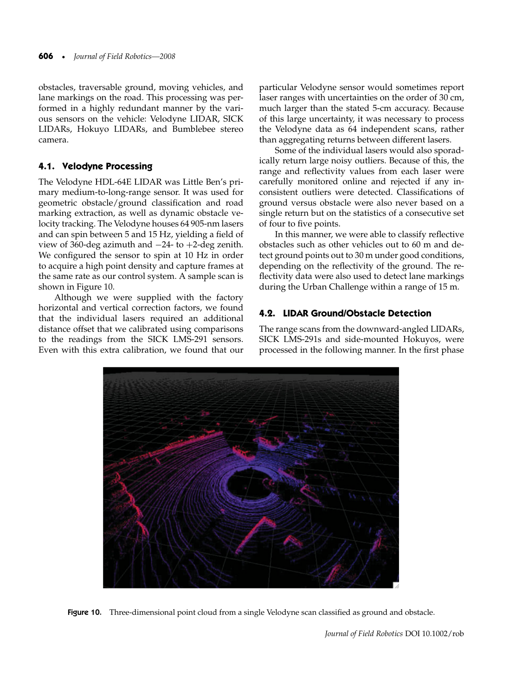obstacles, traversable ground, moving vehicles, and lane markings on the road. This processing was performed in a highly redundant manner by the various sensors on the vehicle: Velodyne LIDAR, SICK LIDARs, Hokuyo LIDARs, and Bumblebee stereo camera.

## **4.1. Velodyne Processing**

The Velodyne HDL-64E LIDAR was Little Ben's primary medium-to-long-range sensor. It was used for geometric obstacle/ground classification and road marking extraction, as well as dynamic obstacle velocity tracking. The Velodyne houses 64 905-nm lasers and can spin between 5 and 15 Hz, yielding a field of view of 360-deg azimuth and −24- to +2-deg zenith. We configured the sensor to spin at 10 Hz in order to acquire a high point density and capture frames at the same rate as our control system. A sample scan is shown in Figure 10.

Although we were supplied with the factory horizontal and vertical correction factors, we found that the individual lasers required an additional distance offset that we calibrated using comparisons to the readings from the SICK LMS-291 sensors. Even with this extra calibration, we found that our particular Velodyne sensor would sometimes report laser ranges with uncertainties on the order of 30 cm, much larger than the stated 5-cm accuracy. Because of this large uncertainty, it was necessary to process the Velodyne data as 64 independent scans, rather than aggregating returns between different lasers.

Some of the individual lasers would also sporadically return large noisy outliers. Because of this, the range and reflectivity values from each laser were carefully monitored online and rejected if any inconsistent outliers were detected. Classifications of ground versus obstacle were also never based on a single return but on the statistics of a consecutive set of four to five points.

In this manner, we were able to classify reflective obstacles such as other vehicles out to 60 m and detect ground points out to 30 m under good conditions, depending on the reflectivity of the ground. The reflectivity data were also used to detect lane markings during the Urban Challenge within a range of 15 m.

# **4.2. LIDAR Ground/Obstacle Detection**

The range scans from the downward-angled LIDARs, SICK LMS-291s and side-mounted Hokuyos, were processed in the following manner. In the first phase



Figure 10. Three-dimensional point cloud from a single Velodyne scan classified as ground and obstacle.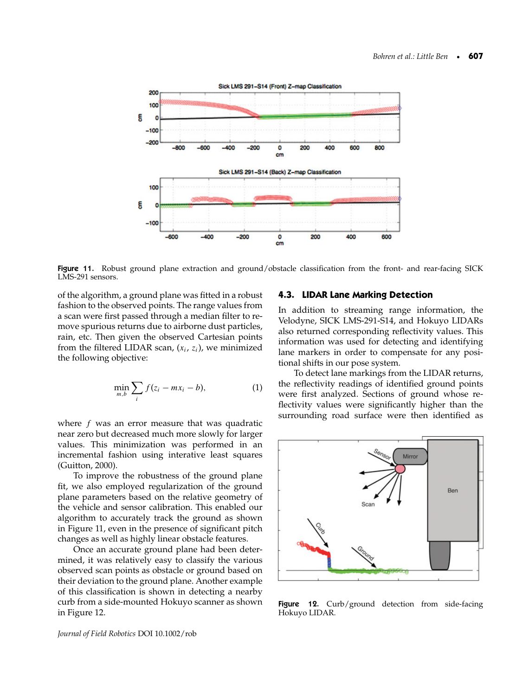

Figure 11. Robust ground plane extraction and ground/obstacle classification from the front- and rear-facing SICK LMS-291 sensors.

of the algorithm, a ground plane was fitted in a robust fashion to the observed points. The range values from a scan were first passed through a median filter to remove spurious returns due to airborne dust particles, rain, etc. Then given the observed Cartesian points from the filtered LIDAR scan, (*xi*, *zi*), we minimized the following objective:

$$
\min_{m,b} \sum_{i} f(z_i - mx_i - b), \tag{1}
$$

where *f* was an error measure that was quadratic near zero but decreased much more slowly for larger values. This minimization was performed in an incremental fashion using interative least squares (Guitton, 2000).

To improve the robustness of the ground plane fit, we also employed regularization of the ground plane parameters based on the relative geometry of the vehicle and sensor calibration. This enabled our algorithm to accurately track the ground as shown in Figure 11, even in the presence of significant pitch changes as well as highly linear obstacle features.

Once an accurate ground plane had been determined, it was relatively easy to classify the various observed scan points as obstacle or ground based on their deviation to the ground plane. Another example of this classification is shown in detecting a nearby curb from a side-mounted Hokuyo scanner as shown in Figure 12.

## **4.3. LIDAR Lane Marking Detection**

In addition to streaming range information, the Velodyne, SICK LMS-291-S14, and Hokuyo LIDARs also returned corresponding reflectivity values. This information was used for detecting and identifying lane markers in order to compensate for any positional shifts in our pose system.

To detect lane markings from the LIDAR returns, the reflectivity readings of identified ground points were first analyzed. Sections of ground whose reflectivity values were significantly higher than the surrounding road surface were then identified as



Figure 12. Curb/ground detection from side-facing Hokuyo LIDAR.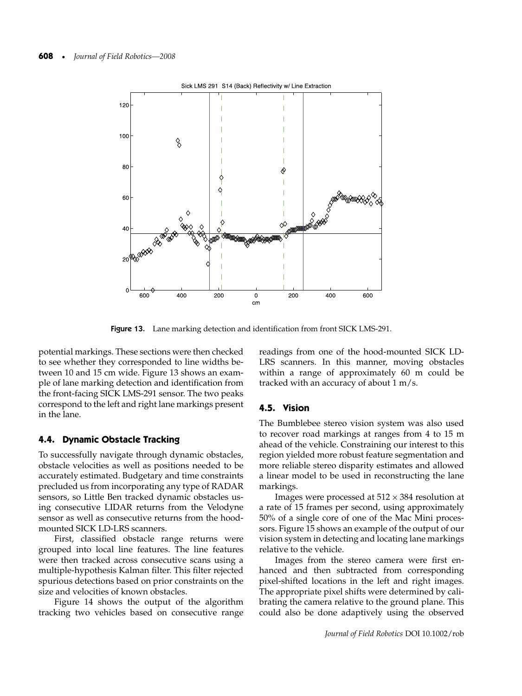

Sick LMS 291 S14 (Back) Reflectivity w/ Line Extraction

Figure 13. Lane marking detection and identification from front SICK LMS-291.

potential markings. These sections were then checked to see whether they corresponded to line widths between 10 and 15 cm wide. Figure 13 shows an example of lane marking detection and identification from the front-facing SICK LMS-291 sensor. The two peaks correspond to the left and right lane markings present in the lane.

#### **4.4. Dynamic Obstacle Tracking**

To successfully navigate through dynamic obstacles, obstacle velocities as well as positions needed to be accurately estimated. Budgetary and time constraints precluded us from incorporating any type of RADAR sensors, so Little Ben tracked dynamic obstacles using consecutive LIDAR returns from the Velodyne sensor as well as consecutive returns from the hoodmounted SICK LD-LRS scanners.

First, classified obstacle range returns were grouped into local line features. The line features were then tracked across consecutive scans using a multiple-hypothesis Kalman filter. This filter rejected spurious detections based on prior constraints on the size and velocities of known obstacles.

Figure 14 shows the output of the algorithm tracking two vehicles based on consecutive range readings from one of the hood-mounted SICK LD-LRS scanners. In this manner, moving obstacles within a range of approximately 60 m could be tracked with an accuracy of about 1 m/s.

#### **4.5. Vision**

The Bumblebee stereo vision system was also used to recover road markings at ranges from 4 to 15 m ahead of the vehicle. Constraining our interest to this region yielded more robust feature segmentation and more reliable stereo disparity estimates and allowed a linear model to be used in reconstructing the lane markings.

Images were processed at  $512 \times 384$  resolution at a rate of 15 frames per second, using approximately 50% of a single core of one of the Mac Mini processors. Figure 15 shows an example of the output of our vision system in detecting and locating lane markings relative to the vehicle.

Images from the stereo camera were first enhanced and then subtracted from corresponding pixel-shifted locations in the left and right images. The appropriate pixel shifts were determined by calibrating the camera relative to the ground plane. This could also be done adaptively using the observed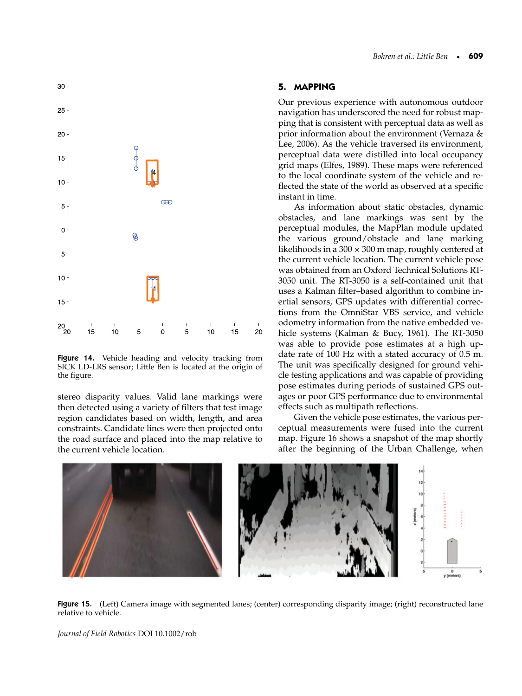



Figure 14. Vehicle heading and velocity tracking from SICK LD-LRS sensor; Little Ben is located at the origin of the figure.

stereo disparity values. Valid lane markings were then detected using a variety of filters that test image region candidates based on width, length, and area constraints. Candidate lines were then projected onto the road surface and placed into the map relative to the current vehicle location.

# **5. MAPPING**

Our previous experience with autonomous outdoor navigation has underscored the need for robust mapping that is consistent with perceptual data as well as prior information about the environment (Vernaza & Lee, 2006). As the vehicle traversed its environment, perceptual data were distilled into local occupancy grid maps (Elfes, 1989). These maps were referenced to the local coordinate system of the vehicle and reflected the state of the world as observed at a specific instant in time.

As information about static obstacles, dynamic obstacles, and lane markings was sent by the perceptual modules, the MapPlan module updated the various ground/obstacle and lane marking likelihoods in a  $300 \times 300$  m map, roughly centered at the current vehicle location. The current vehicle pose was obtained from an Oxford Technical Solutions RT-3050 unit. The RT-3050 is a self-contained unit that uses a Kalman filter–based algorithm to combine inertial sensors, GPS updates with differential corrections from the OmniStar VBS service, and vehicle odometry information from the native embedded vehicle systems (Kalman & Bucy, 1961). The RT-3050 was able to provide pose estimates at a high update rate of 100 Hz with a stated accuracy of 0.5 m. The unit was specifically designed for ground vehicle testing applications and was capable of providing pose estimates during periods of sustained GPS outages or poor GPS performance due to environmental effects such as multipath reflections.

Given the vehicle pose estimates, the various perceptual measurements were fused into the current map. Figure 16 shows a snapshot of the map shortly after the beginning of the Urban Challenge, when



Figure 15. (Left) Camera image with segmented lanes; (center) corresponding disparity image; (right) reconstructed lane relative to vehicle.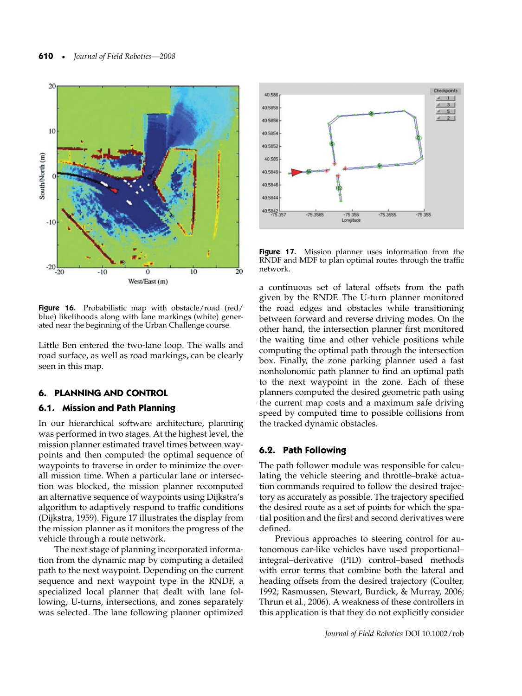

Figure 16. Probabilistic map with obstacle/road (red/ blue) likelihoods along with lane markings (white) generated near the beginning of the Urban Challenge course.

Little Ben entered the two-lane loop. The walls and road surface, as well as road markings, can be clearly seen in this map.

#### **6. PLANNING AND CONTROL**

#### **6.1. Mission and Path Planning**

In our hierarchical software architecture, planning was performed in two stages. At the highest level, the mission planner estimated travel times between waypoints and then computed the optimal sequence of waypoints to traverse in order to minimize the overall mission time. When a particular lane or intersection was blocked, the mission planner recomputed an alternative sequence of waypoints using Dijkstra's algorithm to adaptively respond to traffic conditions (Dijkstra, 1959). Figure 17 illustrates the display from the mission planner as it monitors the progress of the vehicle through a route network.

The next stage of planning incorporated information from the dynamic map by computing a detailed path to the next waypoint. Depending on the current sequence and next waypoint type in the RNDF, a specialized local planner that dealt with lane following, U-turns, intersections, and zones separately was selected. The lane following planner optimized



**Figure 17.** Mission planner uses information from the RNDF and MDF to plan optimal routes through the traffic network.

a continuous set of lateral offsets from the path given by the RNDF. The U-turn planner monitored the road edges and obstacles while transitioning between forward and reverse driving modes. On the other hand, the intersection planner first monitored the waiting time and other vehicle positions while computing the optimal path through the intersection box. Finally, the zone parking planner used a fast nonholonomic path planner to find an optimal path to the next waypoint in the zone. Each of these planners computed the desired geometric path using the current map costs and a maximum safe driving speed by computed time to possible collisions from the tracked dynamic obstacles.

#### **6.2. Path Following**

The path follower module was responsible for calculating the vehicle steering and throttle–brake actuation commands required to follow the desired trajectory as accurately as possible. The trajectory specified the desired route as a set of points for which the spatial position and the first and second derivatives were defined.

Previous approaches to steering control for autonomous car-like vehicles have used proportional– integral–derivative (PID) control–based methods with error terms that combine both the lateral and heading offsets from the desired trajectory (Coulter, 1992; Rasmussen, Stewart, Burdick, & Murray, 2006; Thrun et al., 2006). A weakness of these controllers in this application is that they do not explicitly consider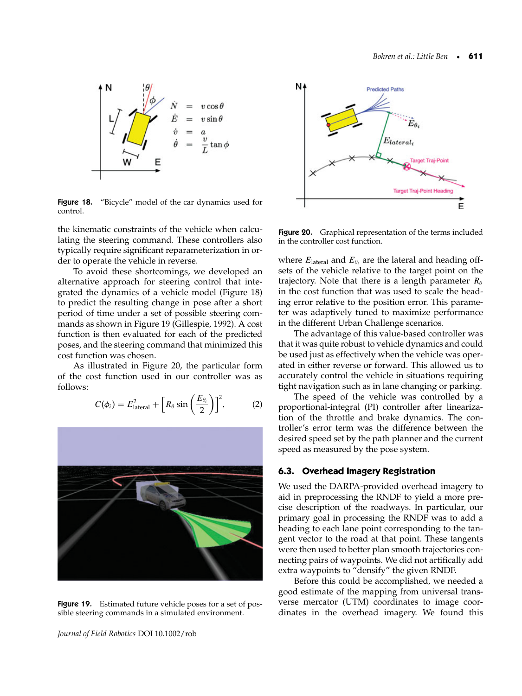

Figure 18. "Bicycle" model of the car dynamics used for control.

the kinematic constraints of the vehicle when calculating the steering command. These controllers also typically require significant reparameterization in order to operate the vehicle in reverse.

To avoid these shortcomings, we developed an alternative approach for steering control that integrated the dynamics of a vehicle model (Figure 18) to predict the resulting change in pose after a short period of time under a set of possible steering commands as shown in Figure 19 (Gillespie, 1992). A cost function is then evaluated for each of the predicted poses, and the steering command that minimized this cost function was chosen.

As illustrated in Figure 20, the particular form of the cost function used in our controller was as follows:

$$
C(\phi_i) = E_{\text{lateral}}^2 + \left[ R_\theta \sin\left(\frac{E_{\theta_i}}{2}\right) \right]^2, \tag{2}
$$



Figure 19. Estimated future vehicle poses for a set of possible steering commands in a simulated environment.



Figure 20. Graphical representation of the terms included in the controller cost function.

where  $E_{\text{lateral}}$  and  $E_{\theta_i}$  are the lateral and heading offsets of the vehicle relative to the target point on the trajectory. Note that there is a length parameter  $R_{\theta}$ in the cost function that was used to scale the heading error relative to the position error. This parameter was adaptively tuned to maximize performance in the different Urban Challenge scenarios.

The advantage of this value-based controller was that it was quite robust to vehicle dynamics and could be used just as effectively when the vehicle was operated in either reverse or forward. This allowed us to accurately control the vehicle in situations requiring tight navigation such as in lane changing or parking.

The speed of the vehicle was controlled by a proportional-integral (PI) controller after linearization of the throttle and brake dynamics. The controller's error term was the difference between the desired speed set by the path planner and the current speed as measured by the pose system.

## **6.3. Overhead Imagery Registration**

We used the DARPA-provided overhead imagery to aid in preprocessing the RNDF to yield a more precise description of the roadways. In particular, our primary goal in processing the RNDF was to add a heading to each lane point corresponding to the tangent vector to the road at that point. These tangents were then used to better plan smooth trajectories connecting pairs of waypoints. We did not artifically add extra waypoints to "densify" the given RNDF.

Before this could be accomplished, we needed a good estimate of the mapping from universal transverse mercator (UTM) coordinates to image coordinates in the overhead imagery. We found this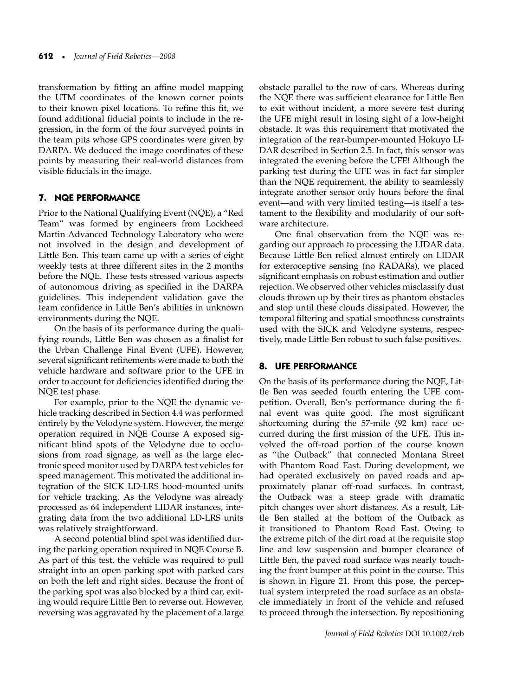transformation by fitting an affine model mapping the UTM coordinates of the known corner points to their known pixel locations. To refine this fit, we found additional fiducial points to include in the regression, in the form of the four surveyed points in the team pits whose GPS coordinates were given by DARPA. We deduced the image coordinates of these points by measuring their real-world distances from visible fiducials in the image.

## **7. NQE PERFORMANCE**

Prior to the National Qualifying Event (NQE), a "Red Team" was formed by engineers from Lockheed Martin Advanced Technology Laboratory who were not involved in the design and development of Little Ben. This team came up with a series of eight weekly tests at three different sites in the 2 months before the NQE. These tests stressed various aspects of autonomous driving as specified in the DARPA guidelines. This independent validation gave the team confidence in Little Ben's abilities in unknown environments during the NQE.

On the basis of its performance during the qualifying rounds, Little Ben was chosen as a finalist for the Urban Challenge Final Event (UFE). However, several significant refinements were made to both the vehicle hardware and software prior to the UFE in order to account for deficiencies identified during the NQE test phase.

For example, prior to the NQE the dynamic vehicle tracking described in Section 4.4 was performed entirely by the Velodyne system. However, the merge operation required in NQE Course A exposed significant blind spots of the Velodyne due to occlusions from road signage, as well as the large electronic speed monitor used by DARPA test vehicles for speed management. This motivated the additional integration of the SICK LD-LRS hood-mounted units for vehicle tracking. As the Velodyne was already processed as 64 independent LIDAR instances, integrating data from the two additional LD-LRS units was relatively straightforward.

A second potential blind spot was identified during the parking operation required in NQE Course B. As part of this test, the vehicle was required to pull straight into an open parking spot with parked cars on both the left and right sides. Because the front of the parking spot was also blocked by a third car, exiting would require Little Ben to reverse out. However, reversing was aggravated by the placement of a large obstacle parallel to the row of cars. Whereas during the NQE there was sufficient clearance for Little Ben to exit without incident, a more severe test during the UFE might result in losing sight of a low-height obstacle. It was this requirement that motivated the integration of the rear-bumper-mounted Hokuyo LI-DAR described in Section 2.5. In fact, this sensor was integrated the evening before the UFE! Although the parking test during the UFE was in fact far simpler than the NQE requirement, the ability to seamlessly integrate another sensor only hours before the final event—and with very limited testing—is itself a testament to the flexibility and modularity of our software architecture.

One final observation from the NQE was regarding our approach to processing the LIDAR data. Because Little Ben relied almost entirely on LIDAR for exteroceptive sensing (no RADARs), we placed significant emphasis on robust estimation and outlier rejection. We observed other vehicles misclassify dust clouds thrown up by their tires as phantom obstacles and stop until these clouds dissipated. However, the temporal filtering and spatial smoothness constraints used with the SICK and Velodyne systems, respectively, made Little Ben robust to such false positives.

## **8. UFE PERFORMANCE**

On the basis of its performance during the NQE, Little Ben was seeded fourth entering the UFE competition. Overall, Ben's performance during the final event was quite good. The most significant shortcoming during the 57-mile (92 km) race occurred during the first mission of the UFE. This involved the off-road portion of the course known as "the Outback" that connected Montana Street with Phantom Road East. During development, we had operated exclusively on paved roads and approximately planar off-road surfaces. In contrast, the Outback was a steep grade with dramatic pitch changes over short distances. As a result, Little Ben stalled at the bottom of the Outback as it transitioned to Phantom Road East. Owing to the extreme pitch of the dirt road at the requisite stop line and low suspension and bumper clearance of Little Ben, the paved road surface was nearly touching the front bumper at this point in the course. This is shown in Figure 21. From this pose, the perceptual system interpreted the road surface as an obstacle immediately in front of the vehicle and refused to proceed through the intersection. By repositioning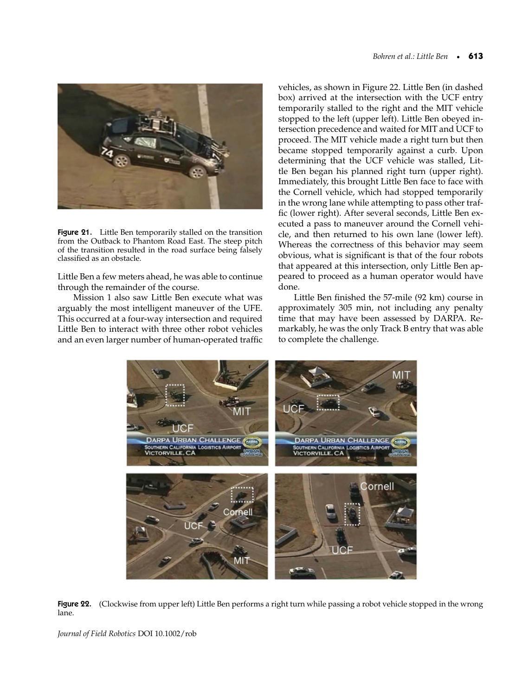

Figure 21. Little Ben temporarily stalled on the transition from the Outback to Phantom Road East. The steep pitch of the transition resulted in the road surface being falsely classified as an obstacle.

Little Ben a few meters ahead, he was able to continue through the remainder of the course.

Mission 1 also saw Little Ben execute what was arguably the most intelligent maneuver of the UFE. This occurred at a four-way intersection and required Little Ben to interact with three other robot vehicles and an even larger number of human-operated traffic vehicles, as shown in Figure 22. Little Ben (in dashed box) arrived at the intersection with the UCF entry temporarily stalled to the right and the MIT vehicle stopped to the left (upper left). Little Ben obeyed intersection precedence and waited for MIT and UCF to proceed. The MIT vehicle made a right turn but then became stopped temporarily against a curb. Upon determining that the UCF vehicle was stalled, Little Ben began his planned right turn (upper right). Immediately, this brought Little Ben face to face with the Cornell vehicle, which had stopped temporarily in the wrong lane while attempting to pass other traffic (lower right). After several seconds, Little Ben executed a pass to maneuver around the Cornell vehicle, and then returned to his own lane (lower left). Whereas the correctness of this behavior may seem obvious, what is significant is that of the four robots that appeared at this intersection, only Little Ben appeared to proceed as a human operator would have done.

Little Ben finished the 57-mile (92 km) course in approximately 305 min, not including any penalty time that may have been assessed by DARPA. Remarkably, he was the only Track B entry that was able to complete the challenge.



Figure 22. (Clockwise from upper left) Little Ben performs a right turn while passing a robot vehicle stopped in the wrong lane.